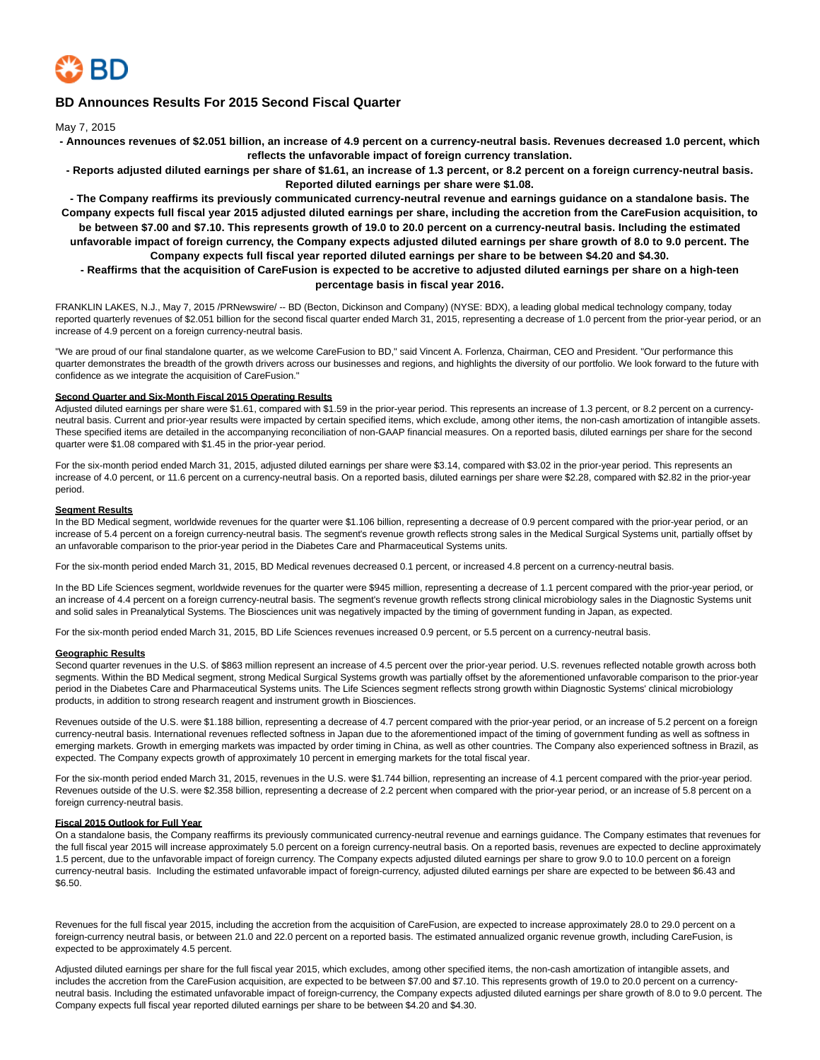

# **BD Announces Results For 2015 Second Fiscal Quarter**

May 7, 2015

- **Announces revenues of \$2.051 billion, an increase of 4.9 percent on a currency-neutral basis. Revenues decreased 1.0 percent, which reflects the unfavorable impact of foreign currency translation.**
- **Reports adjusted diluted earnings per share of \$1.61, an increase of 1.3 percent, or 8.2 percent on a foreign currency-neutral basis. Reported diluted earnings per share were \$1.08.**

**- The Company reaffirms its previously communicated currency-neutral revenue and earnings guidance on a standalone basis. The Company expects full fiscal year 2015 adjusted diluted earnings per share, including the accretion from the CareFusion acquisition, to be between \$7.00 and \$7.10. This represents growth of 19.0 to 20.0 percent on a currency-neutral basis. Including the estimated unfavorable impact of foreign currency, the Company expects adjusted diluted earnings per share growth of 8.0 to 9.0 percent. The Company expects full fiscal year reported diluted earnings per share to be between \$4.20 and \$4.30.**

# **- Reaffirms that the acquisition of CareFusion is expected to be accretive to adjusted diluted earnings per share on a high-teen percentage basis in fiscal year 2016.**

FRANKLIN LAKES, N.J., May 7, 2015 /PRNewswire/ -- BD (Becton, Dickinson and Company) (NYSE: BDX), a leading global medical technology company, today reported quarterly revenues of \$2.051 billion for the second fiscal quarter ended March 31, 2015, representing a decrease of 1.0 percent from the prior-year period, or an increase of 4.9 percent on a foreign currency-neutral basis.

"We are proud of our final standalone quarter, as we welcome CareFusion to BD," said Vincent A. Forlenza, Chairman, CEO and President. "Our performance this quarter demonstrates the breadth of the growth drivers across our businesses and regions, and highlights the diversity of our portfolio. We look forward to the future with confidence as we integrate the acquisition of CareFusion."

## **Second Quarter and Six-Month Fiscal 2015 Operating Results**

Adjusted diluted earnings per share were \$1.61, compared with \$1.59 in the prior-year period. This represents an increase of 1.3 percent, or 8.2 percent on a currencyneutral basis. Current and prior-year results were impacted by certain specified items, which exclude, among other items, the non-cash amortization of intangible assets. These specified items are detailed in the accompanying reconciliation of non-GAAP financial measures. On a reported basis, diluted earnings per share for the second quarter were \$1.08 compared with \$1.45 in the prior-year period.

For the six-month period ended March 31, 2015, adjusted diluted earnings per share were \$3.14, compared with \$3.02 in the prior-year period. This represents an increase of 4.0 percent, or 11.6 percent on a currency-neutral basis. On a reported basis, diluted earnings per share were \$2.28, compared with \$2.82 in the prior-year period.

#### **Segment Results**

In the BD Medical segment, worldwide revenues for the quarter were \$1.106 billion, representing a decrease of 0.9 percent compared with the prior-year period, or an increase of 5.4 percent on a foreign currency-neutral basis. The segment's revenue growth reflects strong sales in the Medical Surgical Systems unit, partially offset by an unfavorable comparison to the prior-year period in the Diabetes Care and Pharmaceutical Systems units.

For the six-month period ended March 31, 2015, BD Medical revenues decreased 0.1 percent, or increased 4.8 percent on a currency-neutral basis.

In the BD Life Sciences segment, worldwide revenues for the quarter were \$945 million, representing a decrease of 1.1 percent compared with the prior-year period, or an increase of 4.4 percent on a foreign currency-neutral basis. The segment's revenue growth reflects strong clinical microbiology sales in the Diagnostic Systems unit and solid sales in Preanalytical Systems. The Biosciences unit was negatively impacted by the timing of government funding in Japan, as expected.

For the six-month period ended March 31, 2015, BD Life Sciences revenues increased 0.9 percent, or 5.5 percent on a currency-neutral basis.

#### **Geographic Results**

Second quarter revenues in the U.S. of \$863 million represent an increase of 4.5 percent over the prior-year period. U.S. revenues reflected notable growth across both segments. Within the BD Medical segment, strong Medical Surgical Systems growth was partially offset by the aforementioned unfavorable comparison to the prior-year period in the Diabetes Care and Pharmaceutical Systems units. The Life Sciences segment reflects strong growth within Diagnostic Systems' clinical microbiology products, in addition to strong research reagent and instrument growth in Biosciences.

Revenues outside of the U.S. were \$1.188 billion, representing a decrease of 4.7 percent compared with the prior-year period, or an increase of 5.2 percent on a foreign currency-neutral basis. International revenues reflected softness in Japan due to the aforementioned impact of the timing of government funding as well as softness in emerging markets. Growth in emerging markets was impacted by order timing in China, as well as other countries. The Company also experienced softness in Brazil, as expected. The Company expects growth of approximately 10 percent in emerging markets for the total fiscal year.

For the six-month period ended March 31, 2015, revenues in the U.S. were \$1.744 billion, representing an increase of 4.1 percent compared with the prior-year period. Revenues outside of the U.S. were \$2.358 billion, representing a decrease of 2.2 percent when compared with the prior-year period, or an increase of 5.8 percent on a foreign currency-neutral basis.

## **Fiscal 2015 Outlook for Full Year**

On a standalone basis, the Company reaffirms its previously communicated currency-neutral revenue and earnings guidance. The Company estimates that revenues for the full fiscal year 2015 will increase approximately 5.0 percent on a foreign currency-neutral basis. On a reported basis, revenues are expected to decline approximately 1.5 percent, due to the unfavorable impact of foreign currency. The Company expects adjusted diluted earnings per share to grow 9.0 to 10.0 percent on a foreign currency-neutral basis. Including the estimated unfavorable impact of foreign-currency, adjusted diluted earnings per share are expected to be between \$6.43 and \$6.50.

Revenues for the full fiscal year 2015, including the accretion from the acquisition of CareFusion, are expected to increase approximately 28.0 to 29.0 percent on a foreign-currency neutral basis, or between 21.0 and 22.0 percent on a reported basis. The estimated annualized organic revenue growth, including CareFusion, is expected to be approximately 4.5 percent.

Adjusted diluted earnings per share for the full fiscal year 2015, which excludes, among other specified items, the non-cash amortization of intangible assets, and includes the accretion from the CareFusion acquisition, are expected to be between \$7.00 and \$7.10. This represents growth of 19.0 to 20.0 percent on a currencyneutral basis. Including the estimated unfavorable impact of foreign-currency, the Company expects adjusted diluted earnings per share growth of 8.0 to 9.0 percent. The Company expects full fiscal year reported diluted earnings per share to be between \$4.20 and \$4.30.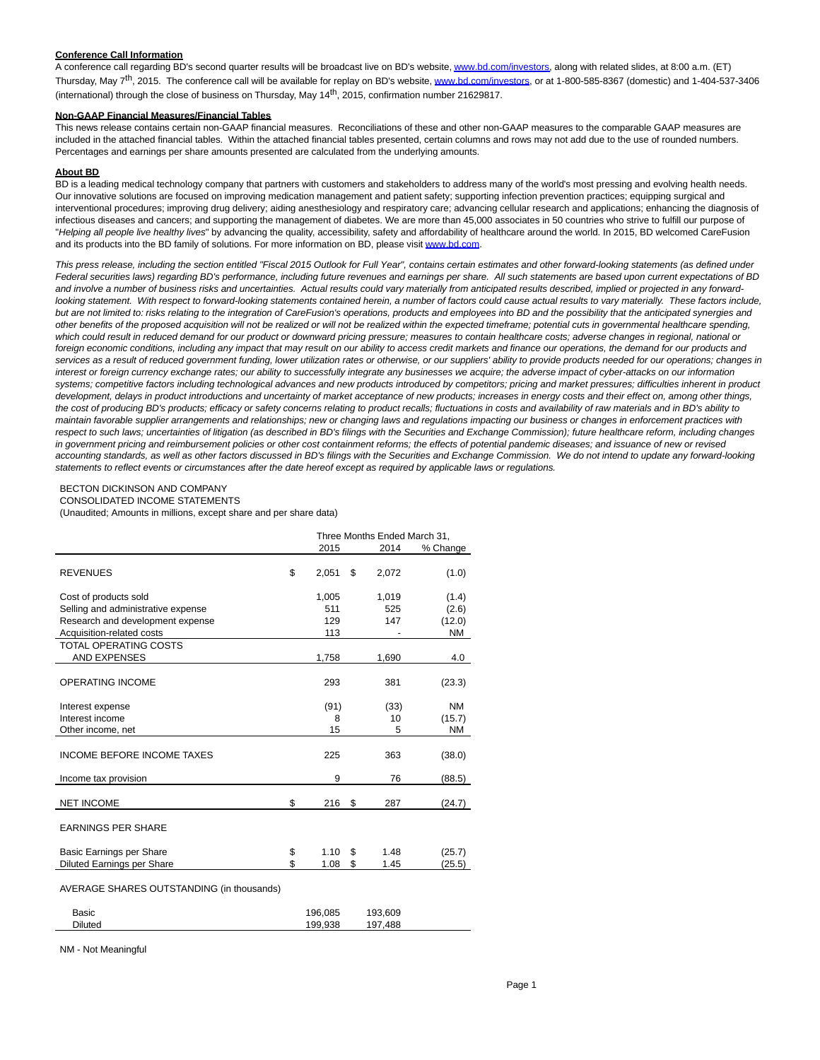### **Conference Call Information**

A conference call regarding BD's second quarter results will be broadcast live on BD's website, [www.bd.com/investors,](http://www.bd.com/investors) along with related slides, at 8:00 a.m. (ET) Thursday, May 7<sup>th</sup>, 2015. The conference call will be available for replay on BD's website, [www.bd.com/investors,](http://www.bd.com/investors) or at 1-800-585-8367 (domestic) and 1-404-537-3406 (international) through the close of business on Thursday, May 14th, 2015, confirmation number 21629817.

### **Non-GAAP Financial Measures/Financial Tables**

This news release contains certain non-GAAP financial measures. Reconciliations of these and other non-GAAP measures to the comparable GAAP measures are included in the attached financial tables. Within the attached financial tables presented, certain columns and rows may not add due to the use of rounded numbers. Percentages and earnings per share amounts presented are calculated from the underlying amounts.

### **About BD**

BD is a leading medical technology company that partners with customers and stakeholders to address many of the world's most pressing and evolving health needs. Our innovative solutions are focused on improving medication management and patient safety; supporting infection prevention practices; equipping surgical and interventional procedures; improving drug delivery; aiding anesthesiology and respiratory care; advancing cellular research and applications; enhancing the diagnosis of infectious diseases and cancers; and supporting the management of diabetes. We are more than 45,000 associates in 50 countries who strive to fulfill our purpose of "Helping all people live healthy lives" by advancing the quality, accessibility, safety and affordability of healthcare around the world. In 2015, BD welcomed CareFusion and its products into the BD family of solutions. For more information on BD, please visit [www.bd.com.](http://www.bd.com/)

This press release, including the section entitled "Fiscal 2015 Outlook for Full Year", contains certain estimates and other forward-looking statements (as defined under Federal securities laws) regarding BD's performance, including future revenues and earnings per share. All such statements are based upon current expectations of BD and involve a number of business risks and uncertainties. Actual results could vary materially from anticipated results described, implied or projected in any forwardlooking statement. With respect to forward-looking statements contained herein, a number of factors could cause actual results to vary materially. These factors include, but are not limited to: risks relating to the integration of CareFusion's operations, products and employees into BD and the possibility that the anticipated synergies and other benefits of the proposed acquisition will not be realized or will not be realized within the expected timeframe; potential cuts in governmental healthcare spending, which could result in reduced demand for our product or downward pricing pressure; measures to contain healthcare costs; adverse changes in regional, national or foreign economic conditions, including any impact that may result on our ability to access credit markets and finance our operations, the demand for our products and services as a result of reduced government funding, lower utilization rates or otherwise, or our suppliers' ability to provide products needed for our operations; changes in interest or foreign currency exchange rates; our ability to successfully integrate any businesses we acquire; the adverse impact of cyber-attacks on our information systems; competitive factors including technological advances and new products introduced by competitors; pricing and market pressures; difficulties inherent in product development, delays in product introductions and uncertainty of market acceptance of new products; increases in energy costs and their effect on, among other things, the cost of producing BD's products; efficacy or safety concerns relating to product recalls; fluctuations in costs and availability of raw materials and in BD's ability to maintain favorable supplier arrangements and relationships; new or changing laws and regulations impacting our business or changes in enforcement practices with respect to such laws; uncertainties of litigation (as described in BD's filings with the Securities and Exchange Commission); future healthcare reform, including changes in government pricing and reimbursement policies or other cost containment reforms; the effects of potential pandemic diseases; and issuance of new or revised accounting standards, as well as other factors discussed in BD's filings with the Securities and Exchange Commission. We do not intend to update any forward-looking statements to reflect events or circumstances after the date hereof except as required by applicable laws or regulations.

### BECTON DICKINSON AND COMPANY

CONSOLIDATED INCOME STATEMENTS

(Unaudited; Amounts in millions, except share and per share data)

|                                           | Three Months Ended March 31, |    |                 |           |  |
|-------------------------------------------|------------------------------|----|-----------------|-----------|--|
|                                           | 2015                         |    | 2014            | % Change  |  |
| <b>REVENUES</b>                           | \$<br>2,051                  | \$ | 2,072           | (1.0)     |  |
| Cost of products sold                     | 1,005                        |    | 1,019           | (1.4)     |  |
| Selling and administrative expense        | 511                          |    | 525             | (2.6)     |  |
| Research and development expense          | 129                          |    | 147             | (12.0)    |  |
| Acquisition-related costs                 | 113                          |    |                 | <b>NM</b> |  |
| <b>TOTAL OPERATING COSTS</b>              |                              |    |                 |           |  |
| <b>AND EXPENSES</b>                       | 1,758                        |    | 1,690           | 4.0       |  |
| <b>OPERATING INCOME</b>                   | 293                          |    | 381             | (23.3)    |  |
| Interest expense                          | (91)                         |    | (33)            | <b>NM</b> |  |
| Interest income                           | 8                            |    | 10 <sup>1</sup> | (15.7)    |  |
| Other income, net                         | 15                           |    | 5               | <b>NM</b> |  |
| <b>INCOME BEFORE INCOME TAXES</b>         | 225                          |    | 363             | (38.0)    |  |
| Income tax provision                      | 9                            |    | 76              | (88.5)    |  |
| <b>NET INCOME</b>                         | \$<br>216                    | \$ | 287             | (24.7)    |  |
| <b>EARNINGS PER SHARE</b>                 |                              |    |                 |           |  |
| Basic Earnings per Share                  | \$<br>1.10                   | \$ | 1.48            | (25.7)    |  |
| Diluted Earnings per Share                | \$<br>1.08                   | \$ | 1.45            | (25.5)    |  |
| AVERAGE SHARES OUTSTANDING (in thousands) |                              |    |                 |           |  |
| Basic                                     | 196,085                      |    | 193.609         |           |  |

Diluted 199,938 197,488

NM - Not Meaningful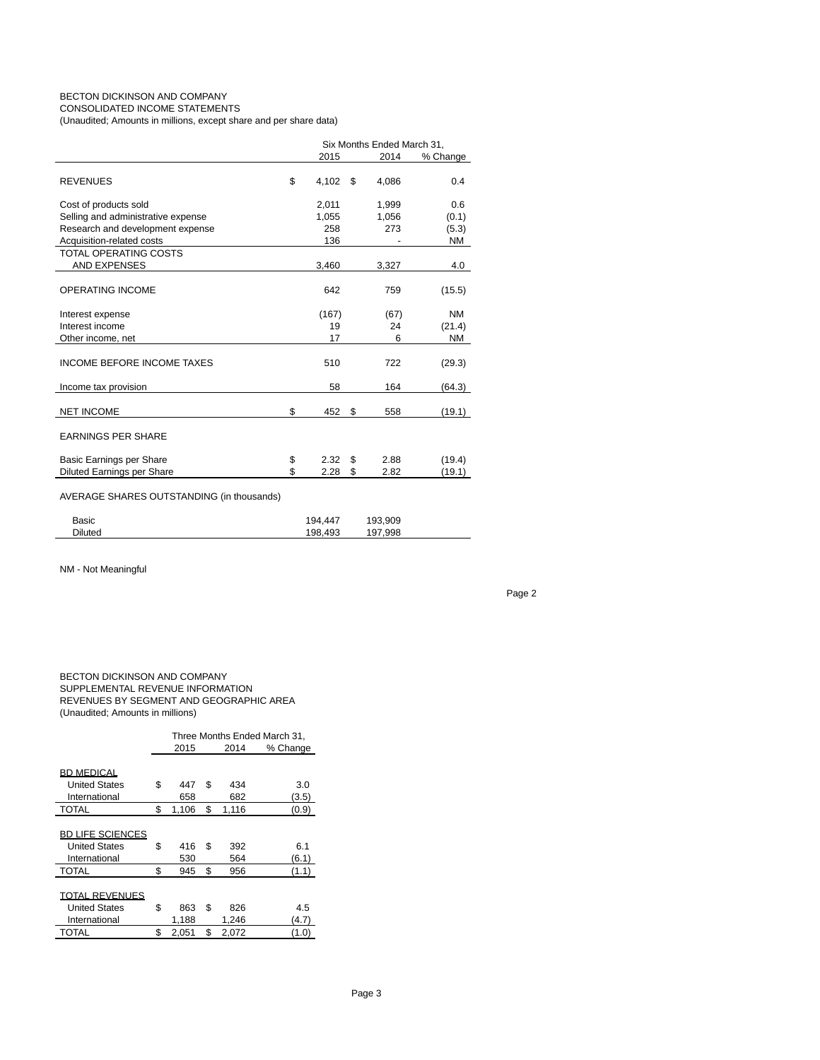# BECTON DICKINSON AND COMPANY CONSOLIDATED INCOME STATEMENTS

(Unaudited; Amounts in millions, except share and per share data)

|                                           | Six Months Ended March 31, |          |       |           |  |
|-------------------------------------------|----------------------------|----------|-------|-----------|--|
|                                           | 2015                       | % Change |       |           |  |
| <b>REVENUES</b>                           | \$<br>4.102                | \$       | 4.086 | 0.4       |  |
| Cost of products sold                     | 2,011                      |          | 1,999 | 0.6       |  |
| Selling and administrative expense        | 1,055                      |          | 1,056 | (0.1)     |  |
| Research and development expense          | 258                        |          | 273   | (5.3)     |  |
| Acquisition-related costs                 | 136                        |          |       | ΝM        |  |
| <b>TOTAL OPERATING COSTS</b>              |                            |          |       |           |  |
| <b>AND EXPENSES</b>                       | 3,460                      |          | 3,327 | 4.0       |  |
| <b>OPERATING INCOME</b>                   | 642                        |          | 759   | (15.5)    |  |
| Interest expense                          | (167)                      |          | (67)  | <b>NM</b> |  |
| Interest income                           | 19                         |          | 24    | (21.4)    |  |
| Other income, net                         | 17                         |          | 6     | <b>NM</b> |  |
| <b>INCOME BEFORE INCOME TAXES</b>         | 510                        |          | 722   | (29.3)    |  |
| Income tax provision                      | 58                         |          | 164   | (64.3)    |  |
| <b>NET INCOME</b>                         | \$<br>452                  | \$       | 558   | (19.1)    |  |
| <b>EARNINGS PER SHARE</b>                 |                            |          |       |           |  |
| Basic Earnings per Share                  | \$<br>2.32                 | \$       | 2.88  | (19.4)    |  |
| Diluted Earnings per Share                | \$<br>2.28                 | \$       | 2.82  | (19.1)    |  |
| AVERAGE SHARES OUTSTANDING (in thousands) |                            |          |       |           |  |

| <b>Diluted</b><br>198.493<br>197.998 | Basic | 194.447 | 193.909 |  |
|--------------------------------------|-------|---------|---------|--|
|                                      |       |         |         |  |

NM - Not Meaningful

Page 2

### BECTON DICKINSON AND COMPANY SUPPLEMENTAL REVENUE INFORMATION REVENUES BY SEGMENT AND GEOGRAPHIC AREA (Unaudited; Amounts in millions)

|                         | Three Months Ended March 31. |    |       |          |  |  |  |  |
|-------------------------|------------------------------|----|-------|----------|--|--|--|--|
|                         | 2015                         |    | 2014  | % Change |  |  |  |  |
|                         |                              |    |       |          |  |  |  |  |
| <b>BD MEDICAL</b>       |                              |    |       |          |  |  |  |  |
| <b>United States</b>    | \$<br>447                    | \$ | 434   | 3.0      |  |  |  |  |
| International           | 658                          |    | 682   | (3.5)    |  |  |  |  |
| <b>TOTAL</b>            | \$<br>1.106                  | \$ | 1,116 | (0.9)    |  |  |  |  |
|                         |                              |    |       |          |  |  |  |  |
| <b>BD LIFE SCIENCES</b> |                              |    |       |          |  |  |  |  |
| <b>United States</b>    | \$<br>416                    | \$ | 392   | 6.1      |  |  |  |  |
| International           | 530                          |    | 564   | (6.1)    |  |  |  |  |
| <b>TOTAL</b>            | \$<br>945                    | \$ | 956   | (1.1)    |  |  |  |  |
|                         |                              |    |       |          |  |  |  |  |
| TOTAL REVENUES          |                              |    |       |          |  |  |  |  |
| <b>United States</b>    | \$<br>863                    | \$ | 826   | 4.5      |  |  |  |  |
| International           | 1,188                        |    | 1,246 | (4.7)    |  |  |  |  |
| TOTAL                   | \$<br>2,051                  | \$ | 2,072 | (1.0)    |  |  |  |  |
|                         |                              |    |       |          |  |  |  |  |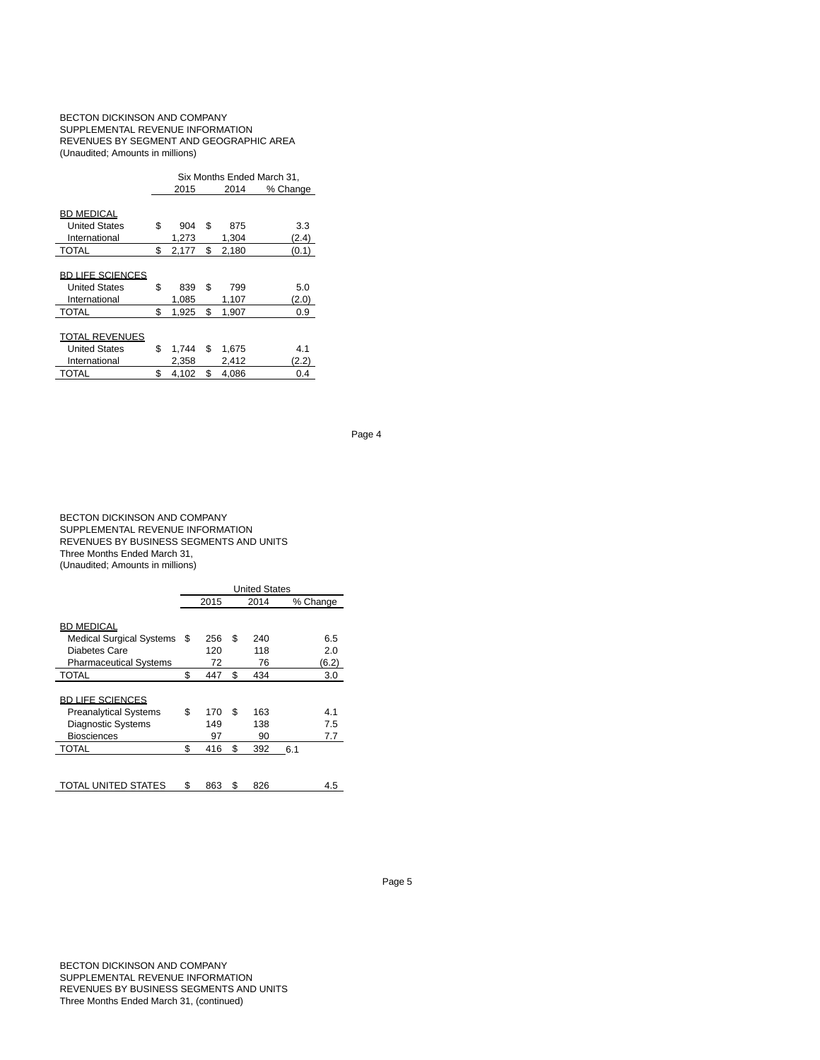### BECTON DICKINSON AND COMPANY SUPPLEMENTAL REVENUE INFORMATION REVENUES BY SEGMENT AND GEOGRAPHIC AREA (Unaudited; Amounts in millions)

|                         | Six Months Ended March 31, |    |          |       |  |  |  |  |  |
|-------------------------|----------------------------|----|----------|-------|--|--|--|--|--|
|                         | 2015                       |    | % Change |       |  |  |  |  |  |
|                         |                            |    |          |       |  |  |  |  |  |
| <b>BD MEDICAL</b>       |                            |    |          |       |  |  |  |  |  |
| <b>United States</b>    | \$<br>904                  | \$ | 875      | 3.3   |  |  |  |  |  |
| International           | 1,273                      |    | 1,304    | (2.4) |  |  |  |  |  |
| <b>TOTAL</b>            | \$<br>2,177                | \$ | 2,180    | (0.1) |  |  |  |  |  |
|                         |                            |    |          |       |  |  |  |  |  |
| <b>BD LIFE SCIENCES</b> |                            |    |          |       |  |  |  |  |  |
| <b>United States</b>    | \$<br>839                  | \$ | 799      | 5.0   |  |  |  |  |  |
| International           | 1,085                      |    | 1,107    | (2.0) |  |  |  |  |  |
| <b>TOTAL</b>            | \$<br>1.925                | \$ | 1.907    | 0.9   |  |  |  |  |  |
|                         |                            |    |          |       |  |  |  |  |  |
| <b>TOTAL REVENUES</b>   |                            |    |          |       |  |  |  |  |  |
| <b>United States</b>    | \$<br>1,744                | \$ | 1,675    | 4.1   |  |  |  |  |  |
| International           | 2,358                      |    | 2,412    | (2.2) |  |  |  |  |  |
| <b>TOTAL</b>            | \$<br>4,102                | \$ | 4.086    | 0.4   |  |  |  |  |  |

Page 4

### BECTON DICKINSON AND COMPANY SUPPLEMENTAL REVENUE INFORMATION REVENUES BY BUSINESS SEGMENTS AND UNITS Three Months Ended March 31, (Unaudited; Amounts in millions)

|                                 |    | <b>United States</b> |    |      |     |          |  |  |  |
|---------------------------------|----|----------------------|----|------|-----|----------|--|--|--|
|                                 |    | 2015                 |    | 2014 |     | % Change |  |  |  |
|                                 |    |                      |    |      |     |          |  |  |  |
| <b>BD MEDICAL</b>               |    |                      |    |      |     |          |  |  |  |
| <b>Medical Surgical Systems</b> | S  | 256                  | \$ | 240  |     | 6.5      |  |  |  |
| Diabetes Care                   |    | 120                  |    | 118  |     | 2.0      |  |  |  |
| <b>Pharmaceutical Systems</b>   |    | 72                   |    | 76   |     | (6.2)    |  |  |  |
| <b>TOTAL</b>                    | \$ | 447                  | \$ | 434  |     | 3.0      |  |  |  |
|                                 |    |                      |    |      |     |          |  |  |  |
| <b>BD LIFE SCIENCES</b>         |    |                      |    |      |     |          |  |  |  |
| <b>Preanalytical Systems</b>    | \$ | 170                  | \$ | 163  |     | 41       |  |  |  |
| <b>Diagnostic Systems</b>       |    | 149                  |    | 138  |     | 7.5      |  |  |  |
| <b>Biosciences</b>              |    | 97                   |    | 90   |     | 7.7      |  |  |  |
| <b>TOTAL</b>                    | \$ | 416                  | \$ | 392  | 6.1 |          |  |  |  |
|                                 |    |                      |    |      |     |          |  |  |  |
|                                 |    |                      |    |      |     |          |  |  |  |
| TOTAL UNITED STATES             | \$ | 863                  | \$ | 826  |     | 4.5      |  |  |  |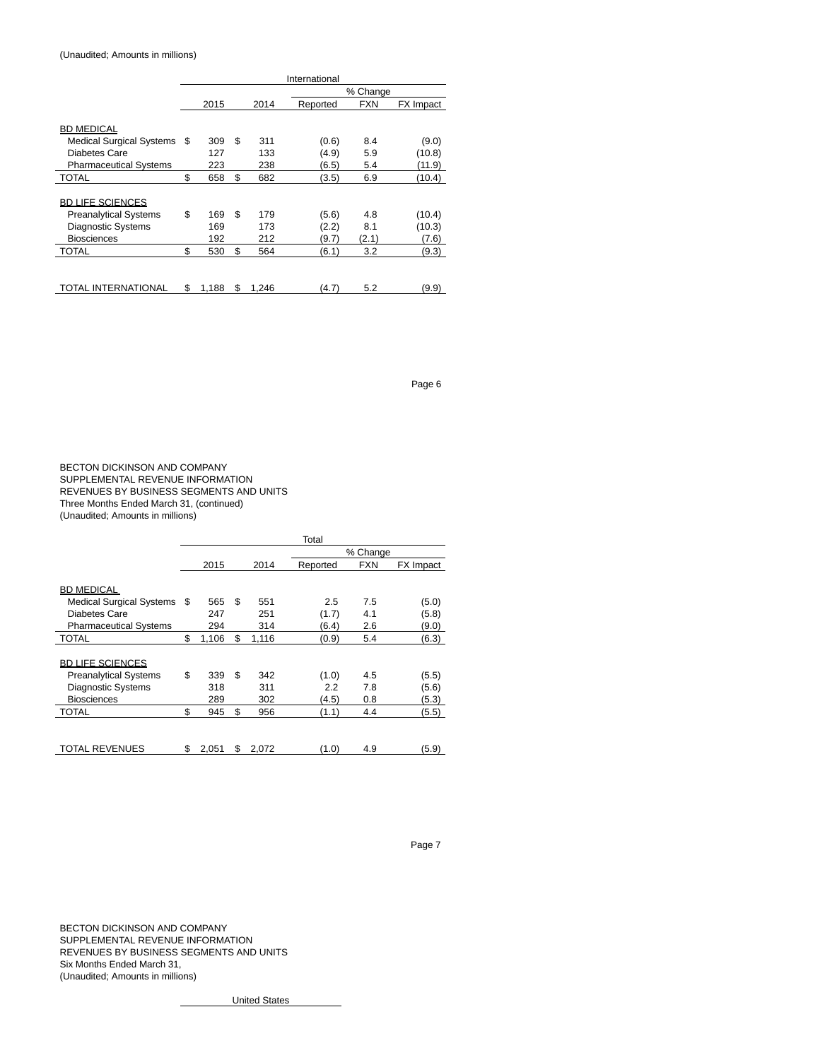# (Unaudited; Amounts in millions)

|                                 | International |       |    |       |          |            |           |  |
|---------------------------------|---------------|-------|----|-------|----------|------------|-----------|--|
|                                 | % Change      |       |    |       |          |            |           |  |
|                                 |               | 2015  |    | 2014  | Reported | <b>FXN</b> | FX Impact |  |
|                                 |               |       |    |       |          |            |           |  |
| <b>BD MEDICAL</b>               |               |       |    |       |          |            |           |  |
| <b>Medical Surgical Systems</b> | S             | 309   | \$ | 311   | (0.6)    | 8.4        | (9.0)     |  |
| Diabetes Care                   |               | 127   |    | 133   | (4.9)    | 5.9        | (10.8)    |  |
| <b>Pharmaceutical Systems</b>   |               | 223   |    | 238   | (6.5)    | 5.4        | (11.9)    |  |
| TOTAL                           | \$            | 658   | \$ | 682   | (3.5)    | 6.9        | (10.4)    |  |
|                                 |               |       |    |       |          |            |           |  |
| <b>BD LIFE SCIENCES</b>         |               |       |    |       |          |            |           |  |
| <b>Preanalytical Systems</b>    | \$            | 169   | \$ | 179   | (5.6)    | 4.8        | (10.4)    |  |
| Diagnostic Systems              |               | 169   |    | 173   | (2.2)    | 8.1        | (10.3)    |  |
| <b>Biosciences</b>              |               | 192   |    | 212   | (9.7)    | (2.1)      | (7.6)     |  |
| <b>TOTAL</b>                    | \$            | 530   | \$ | 564   | (6.1)    | 3.2        | (9.3)     |  |
|                                 |               |       |    |       |          |            |           |  |
|                                 |               |       |    |       |          |            |           |  |
| TOTAL INTERNATIONAL             | \$            | 1.188 | \$ | 1.246 | (4.7)    | 5.2        | (9.9)     |  |

Page 6

BECTON DICKINSON AND COMPANY SUPPLEMENTAL REVENUE INFORMATION REVENUES BY BUSINESS SEGMENTS AND UNITS Three Months Ended March 31, (continued) (Unaudited; Amounts in millions)

|                                 |    |       |    |       | Total    |          |           |
|---------------------------------|----|-------|----|-------|----------|----------|-----------|
|                                 |    |       |    |       |          | % Change |           |
|                                 |    | 2015  |    | 2014  | Reported | FXN      | FX Impact |
|                                 |    |       |    |       |          |          |           |
| <b>BD MEDICAL</b>               |    |       |    |       |          |          |           |
| <b>Medical Surgical Systems</b> | S  | 565   | \$ | 551   | 2.5      | 7.5      | (5.0)     |
| Diabetes Care                   |    | 247   |    | 251   | (1.7)    | 4.1      | (5.8)     |
| <b>Pharmaceutical Systems</b>   |    | 294   |    | 314   | (6.4)    | 2.6      | (9.0)     |
| TOTAL                           | \$ | 1,106 | \$ | 1,116 | (0.9)    | 5.4      | (6.3)     |
|                                 |    |       |    |       |          |          |           |
| <b>BD LIFE SCIENCES</b>         |    |       |    |       |          |          |           |
| <b>Preanalytical Systems</b>    | \$ | 339   | \$ | 342   | (1.0)    | 4.5      | (5.5)     |
| <b>Diagnostic Systems</b>       |    | 318   |    | 311   | 2.2      | 7.8      | (5.6)     |
| <b>Biosciences</b>              |    | 289   |    | 302   | (4.5)    | 0.8      | (5.3)     |
| TOTAL                           | \$ | 945   | \$ | 956   | (1.1)    | 4.4      | (5.5)     |
|                                 |    |       |    |       |          |          |           |
|                                 |    |       |    |       |          |          |           |
| TOTAL REVENUES                  | \$ | 2,051 | S  | 2,072 | (1.0)    | 4.9      | (5.9)     |

Page 7

BECTON DICKINSON AND COMPANY SUPPLEMENTAL REVENUE INFORMATION REVENUES BY BUSINESS SEGMENTS AND UNITS Six Months Ended March 31, (Unaudited; Amounts in millions)

United States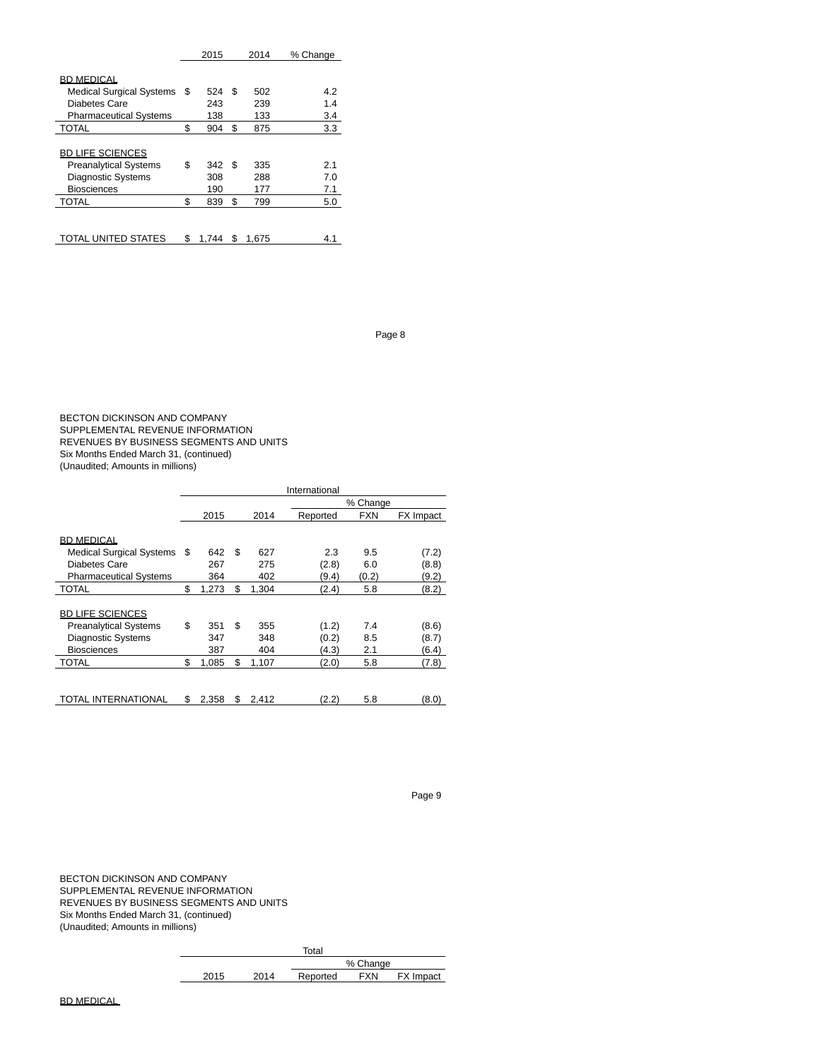|                                 |    | 2015  | 2014        | % Change |
|---------------------------------|----|-------|-------------|----------|
|                                 |    |       |             |          |
| <b>BD MEDICAL</b>               |    |       |             |          |
| <b>Medical Surgical Systems</b> | S  | 524   | \$<br>502   | 4.2      |
| Diabetes Care                   |    | 243   | 239         | 1.4      |
| <b>Pharmaceutical Systems</b>   |    | 138   | 133         | 3.4      |
| <b>TOTAL</b>                    | \$ | 904   | \$<br>875   | 3.3      |
|                                 |    |       |             |          |
| <b>BD LIFE SCIENCES</b>         |    |       |             |          |
| <b>Preanalytical Systems</b>    | \$ | 342   | \$<br>335   | 2.1      |
| <b>Diagnostic Systems</b>       |    | 308   | 288         | 7.0      |
| <b>Biosciences</b>              |    | 190   | 177         | 7.1      |
| <b>TOTAL</b>                    | \$ | 839   | \$<br>799   | 5.0      |
|                                 |    |       |             |          |
|                                 |    |       |             |          |
| <b>TOTAL UNITED STATES</b>      | \$ | 1.744 | \$<br>1.675 | 4.1      |

Page 8

BECTON DICKINSON AND COMPANY SUPPLEMENTAL REVENUE INFORMATION REVENUES BY BUSINESS SEGMENTS AND UNITS Six Months Ended March 31, (continued) (Unaudited; Amounts in millions)

|                                 |      |          |             | International |            |           |
|---------------------------------|------|----------|-------------|---------------|------------|-----------|
|                                 |      | % Change |             |               |            |           |
|                                 |      | 2015     | 2014        | Reported      | <b>FXN</b> | FX Impact |
|                                 |      |          |             |               |            |           |
| <b>BD MEDICAL</b>               |      |          |             |               |            |           |
| <b>Medical Surgical Systems</b> | - \$ | 642      | \$<br>627   | 2.3           | 9.5        | (7.2)     |
| Diabetes Care                   |      | 267      | 275         | (2.8)         | 6.0        | (8.8)     |
| <b>Pharmaceutical Systems</b>   |      | 364      | 402         | (9.4)         | (0.2)      | (9.2)     |
| <b>TOTAL</b>                    | \$   | 1,273    | \$<br>1,304 | (2.4)         | 5.8        | (8.2)     |
|                                 |      |          |             |               |            |           |
| <b>BD LIFE SCIENCES</b>         |      |          |             |               |            |           |
| <b>Preanalytical Systems</b>    | \$   | 351      | \$<br>355   | (1.2)         | 7.4        | (8.6)     |
| <b>Diagnostic Systems</b>       |      | 347      | 348         | (0.2)         | 8.5        | (8.7)     |
| <b>Biosciences</b>              |      | 387      | 404         | (4.3)         | 2.1        | (6.4)     |
| <b>TOTAL</b>                    | \$   | 1,085    | \$<br>1,107 | (2.0)         | 5.8        | (7.8)     |
|                                 |      |          |             |               |            |           |
|                                 |      |          |             |               |            |           |
| TOTAL INTERNATIONAL             | \$   | 2,358    | \$<br>2,412 | (2.2)         | 5.8        | (8.0)     |

Page 9

BECTON DICKINSON AND COMPANY SUPPLEMENTAL REVENUE INFORMATION REVENUES BY BUSINESS SEGMENTS AND UNITS Six Months Ended March 31, (continued) (Unaudited; Amounts in millions)

|      |      | Total    |            |           |
|------|------|----------|------------|-----------|
|      |      |          | % Change   |           |
| 2015 | 2014 | Reported | <b>FXN</b> | FX Impact |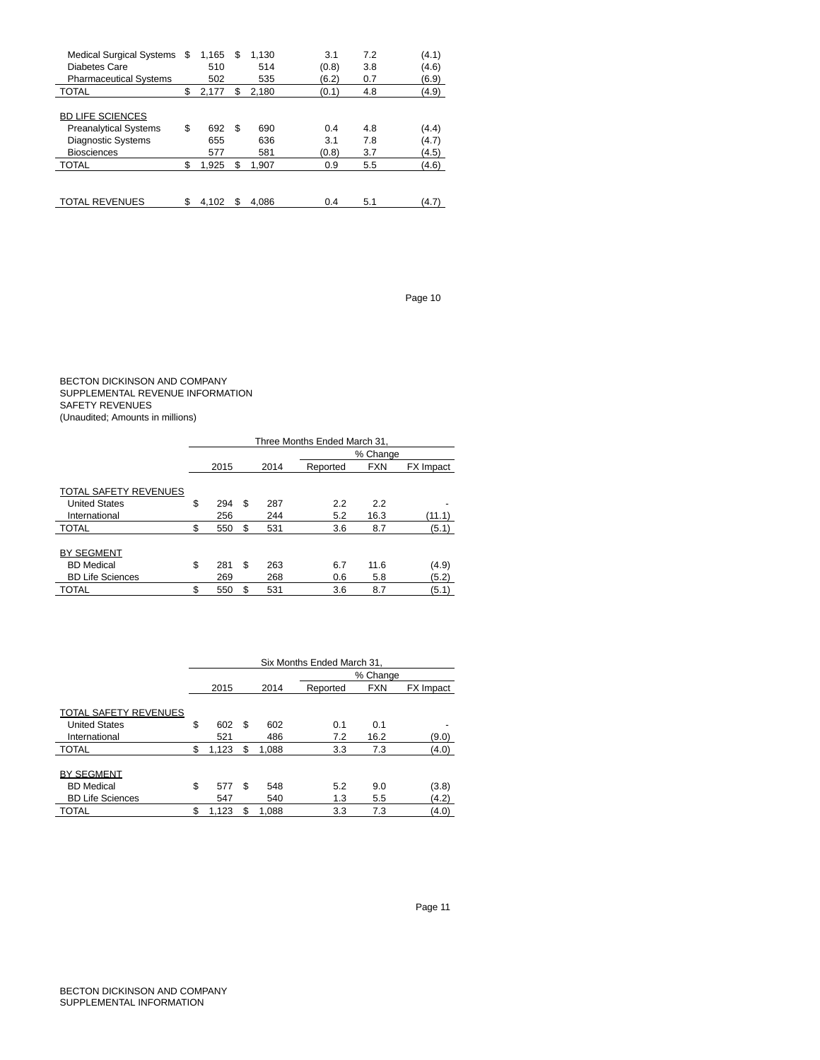| Medical Surgical Systems<br>Diabetes Care<br><b>Pharmaceutical Systems</b>                                 | \$. | 1.165<br>510<br>502 | S  | 1.130<br>514<br>535 | 3.1<br>(0.8)<br>(6.2) | 7.2<br>3.8<br>0.7 | (4.1)<br>(4.6)<br>(6.9) |
|------------------------------------------------------------------------------------------------------------|-----|---------------------|----|---------------------|-----------------------|-------------------|-------------------------|
| <b>TOTAL</b>                                                                                               | \$  | 2.177               | \$ | 2.180               | (0.1)                 | 4.8               | (4.9)                   |
| <b>BD LIFE SCIENCES</b><br><b>Preanalytical Systems</b><br><b>Diagnostic Systems</b><br><b>Biosciences</b> | \$  | 692<br>655<br>577   | S  | 690<br>636<br>581   | 0.4<br>3.1<br>(0.8)   | 4.8<br>7.8<br>3.7 | (4.4)<br>(4.7)<br>(4.5) |
| <b>TOTAL</b>                                                                                               | S   | 1.925               | S  | 1.907               | 0.9                   | 5.5               | (4.6)                   |
| <b>TOTAL REVENUES</b>                                                                                      |     | 4.102               |    | 4.086               | 0.4                   | 5.1               | (4.7)                   |

Page 10

### BECTON DICKINSON AND COMPANY SUPPLEMENTAL REVENUE INFORMATION SAFETY REVENUES (Unaudited; Amounts in millions)

|                              | Three Months Ended March 31, |      |          |      |          |            |           |  |  |  |
|------------------------------|------------------------------|------|----------|------|----------|------------|-----------|--|--|--|
|                              |                              |      | % Change |      |          |            |           |  |  |  |
|                              |                              | 2015 |          | 2014 | Reported | <b>FXN</b> | FX Impact |  |  |  |
|                              |                              |      |          |      |          |            |           |  |  |  |
| <b>TOTAL SAFETY REVENUES</b> |                              |      |          |      |          |            |           |  |  |  |
| <b>United States</b>         | \$                           | 294  | S        | 287  | 2.2      | 2.2        |           |  |  |  |
| International                |                              | 256  |          | 244  | 5.2      | 16.3       | (11.1)    |  |  |  |
| <b>TOTAL</b>                 | \$.                          | 550  | S        | 531  | 3.6      | 8.7        | (5.1)     |  |  |  |
|                              |                              |      |          |      |          |            |           |  |  |  |
| <b>BY SEGMENT</b>            |                              |      |          |      |          |            |           |  |  |  |
| <b>BD</b> Medical            | \$                           | 281  | \$       | 263  | 6.7      | 11.6       | (4.9)     |  |  |  |
| <b>BD Life Sciences</b>      |                              | 269  |          | 268  | 0.6      | 5.8        | (5.2)     |  |  |  |
| TOTAL                        | \$                           | 550  | S        | 531  | 3.6      | 8.7        | (5.1)     |  |  |  |

|                              | Six Months Ended March 31, |       |   |       |          |            |           |  |  |  |
|------------------------------|----------------------------|-------|---|-------|----------|------------|-----------|--|--|--|
|                              |                            |       |   |       |          | % Change   |           |  |  |  |
|                              |                            | 2015  |   | 2014  | Reported | <b>FXN</b> | FX Impact |  |  |  |
|                              |                            |       |   |       |          |            |           |  |  |  |
| <b>TOTAL SAFETY REVENUES</b> |                            |       |   |       |          |            |           |  |  |  |
| <b>United States</b>         | \$                         | 602   | S | 602   | 0.1      | 0.1        |           |  |  |  |
| International                |                            | 521   |   | 486   | 7.2      | 16.2       | (9.0)     |  |  |  |
| <b>TOTAL</b>                 | \$                         | 1,123 | S | 1.088 | 3.3      | 7.3        | (4.0)     |  |  |  |
|                              |                            |       |   |       |          |            |           |  |  |  |
| <b>BY SEGMENT</b>            |                            |       |   |       |          |            |           |  |  |  |
| <b>BD</b> Medical            | \$                         | 577   | S | 548   | 5.2      | 9.0        | (3.8)     |  |  |  |
| <b>BD Life Sciences</b>      |                            | 547   |   | 540   | 1.3      | 5.5        | (4.2)     |  |  |  |
| TOTAL                        | \$                         | 1,123 | S | 1.088 | 3.3      | 7.3        | (4.0)     |  |  |  |

Page 11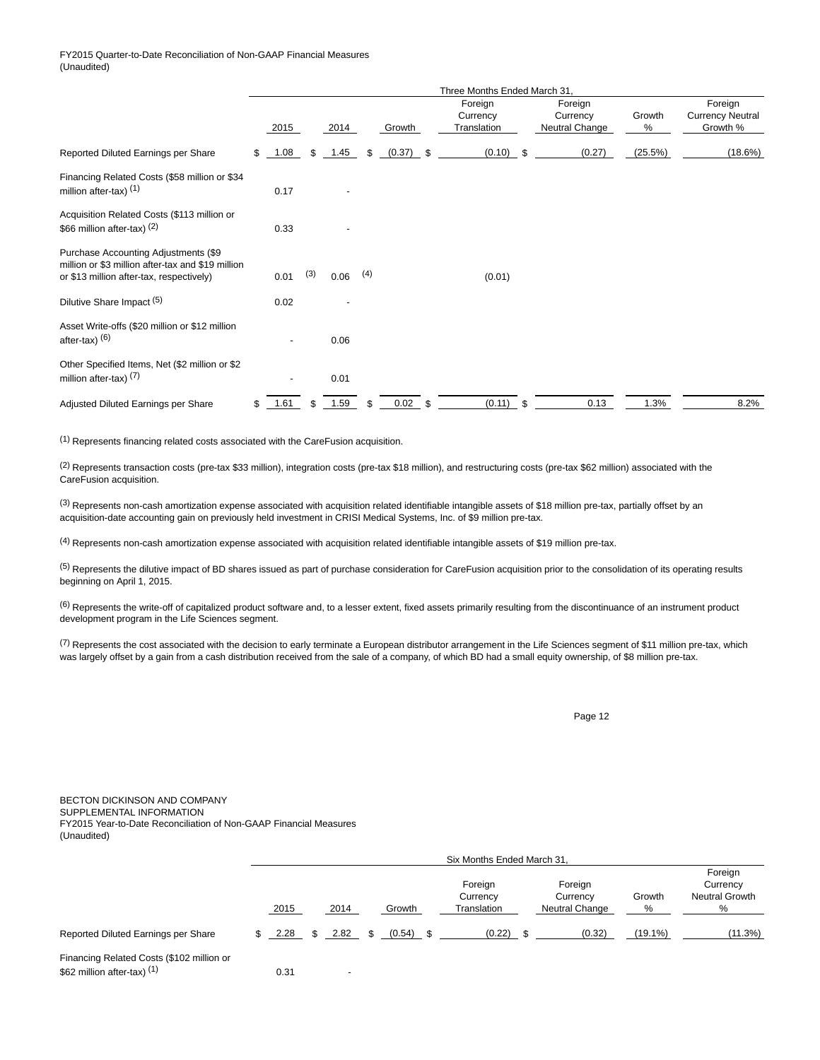### FY2015 Quarter-to-Date Reconciliation of Non-GAAP Financial Measures (Unaudited)

|                                                                                                                                       | Three Months Ended March 31 |      |     |      |     |             |  |                                    |      |                                       |             |                                                |
|---------------------------------------------------------------------------------------------------------------------------------------|-----------------------------|------|-----|------|-----|-------------|--|------------------------------------|------|---------------------------------------|-------------|------------------------------------------------|
|                                                                                                                                       |                             | 2015 |     | 2014 |     | Growth      |  | Foreign<br>Currency<br>Translation |      | Foreign<br>Currency<br>Neutral Change | Growth<br>% | Foreign<br><b>Currency Neutral</b><br>Growth % |
| Reported Diluted Earnings per Share                                                                                                   | \$                          | 1.08 | \$. | 1.45 | \$  | $(0.37)$ \$ |  | $(0.10)$ \$                        |      | (0.27)                                | (25.5%)     | (18.6%)                                        |
| Financing Related Costs (\$58 million or \$34<br>million after-tax) $(1)$                                                             |                             | 0.17 |     |      |     |             |  |                                    |      |                                       |             |                                                |
| Acquisition Related Costs (\$113 million or<br>\$66 million after-tax) $(2)$                                                          |                             | 0.33 |     |      |     |             |  |                                    |      |                                       |             |                                                |
| Purchase Accounting Adjustments (\$9<br>million or \$3 million after-tax and \$19 million<br>or \$13 million after-tax, respectively) |                             | 0.01 | (3) | 0.06 | (4) |             |  | (0.01)                             |      |                                       |             |                                                |
| Dilutive Share Impact <sup>(5)</sup>                                                                                                  |                             | 0.02 |     |      |     |             |  |                                    |      |                                       |             |                                                |
| Asset Write-offs (\$20 million or \$12 million<br>after-tax) $(6)$                                                                    |                             |      |     | 0.06 |     |             |  |                                    |      |                                       |             |                                                |
| Other Specified Items, Net (\$2 million or \$2<br>million after-tax) $(7)$                                                            |                             |      |     | 0.01 |     |             |  |                                    |      |                                       |             |                                                |
| Adjusted Diluted Earnings per Share                                                                                                   | \$                          | 1.61 | S   | 1.59 |     | $0.02$ \$   |  | (0.11)                             | - \$ | 0.13                                  | 1.3%        | 8.2%                                           |

(1) Represents financing related costs associated with the CareFusion acquisition.

 $(2)$  Represents transaction costs (pre-tax \$33 million), integration costs (pre-tax \$18 million), and restructuring costs (pre-tax \$62 million) associated with the CareFusion acquisition.

 $(3)$  Represents non-cash amortization expense associated with acquisition related identifiable intangible assets of \$18 million pre-tax, partially offset by an acquisition-date accounting gain on previously held investment in CRISI Medical Systems, Inc. of \$9 million pre-tax.

(4) Represents non-cash amortization expense associated with acquisition related identifiable intangible assets of \$19 million pre-tax.

(5) Represents the dilutive impact of BD shares issued as part of purchase consideration for CareFusion acquisition prior to the consolidation of its operating results beginning on April 1, 2015.

 $(6)$  Represents the write-off of capitalized product software and, to a lesser extent, fixed assets primarily resulting from the discontinuance of an instrument product development program in the Life Sciences segment.

 $(7)$  Represents the cost associated with the decision to early terminate a European distributor arrangement in the Life Sciences segment of \$11 million pre-tax, which was largely offset by a gain from a cash distribution received from the sale of a company, of which BD had a small equity ownership, of \$8 million pre-tax.

Page 12

### BECTON DICKINSON AND COMPANY SUPPLEMENTAL INFORMATION FY2015 Year-to-Date Reconciliation of Non-GAAP Financial Measures (Unaudited)

|                                     |      | Six Months Ended March 31, |        |                                    |                                       |             |                                                   |  |  |  |  |
|-------------------------------------|------|----------------------------|--------|------------------------------------|---------------------------------------|-------------|---------------------------------------------------|--|--|--|--|
|                                     | 2015 | 2014                       | Growth | Foreign<br>Currency<br>Translation | Foreign<br>Currency<br>Neutral Change | Growth<br>% | Foreign<br>Currency<br><b>Neutral Growth</b><br>% |  |  |  |  |
| Reported Diluted Earnings per Share | 2.28 | 2.82                       | (0.54) | (0.22)                             | (0.32)                                | $(19.1\%)$  | (11.3%)                                           |  |  |  |  |
|                                     |      |                            |        |                                    |                                       |             |                                                   |  |  |  |  |

Financing Related Costs (\$102 million or  $$62$  million after-tax) <sup>(1)</sup> 0.31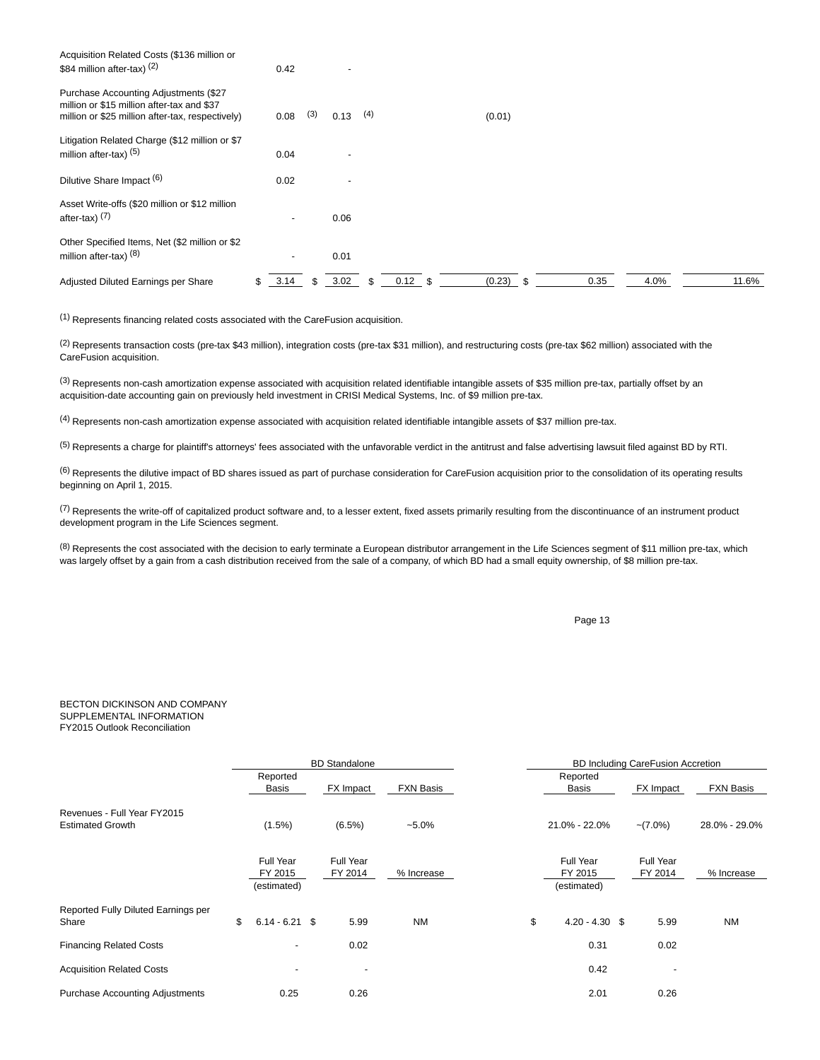| Acquisition Related Costs (\$136 million or<br>\$84 million after-tax) $(2)$                                                            | 0.42 |     |      |     |           |  |        |  |      |      |  |       |
|-----------------------------------------------------------------------------------------------------------------------------------------|------|-----|------|-----|-----------|--|--------|--|------|------|--|-------|
| Purchase Accounting Adjustments (\$27<br>million or \$15 million after-tax and \$37<br>million or \$25 million after-tax, respectively) | 0.08 | (3) | 0.13 | (4) |           |  | (0.01) |  |      |      |  |       |
| Litigation Related Charge (\$12 million or \$7<br>million after-tax) $(5)$                                                              | 0.04 |     |      |     |           |  |        |  |      |      |  |       |
| Dilutive Share Impact (6)                                                                                                               | 0.02 |     |      |     |           |  |        |  |      |      |  |       |
| Asset Write-offs (\$20 million or \$12 million<br>after-tax) $(7)$                                                                      |      |     | 0.06 |     |           |  |        |  |      |      |  |       |
| Other Specified Items, Net (\$2 million or \$2<br>million after-tax) $(8)$                                                              |      |     | 0.01 |     |           |  |        |  |      |      |  |       |
| Adjusted Diluted Earnings per Share                                                                                                     | 3.14 |     | 3.02 |     | $0.12$ \$ |  | (0.23) |  | 0.35 | 4.0% |  | 11.6% |

(1) Represents financing related costs associated with the CareFusion acquisition.

(2) Represents transaction costs (pre-tax \$43 million), integration costs (pre-tax \$31 million), and restructuring costs (pre-tax \$62 million) associated with the CareFusion acquisition.

 $^{(3)}$  Represents non-cash amortization expense associated with acquisition related identifiable intangible assets of \$35 million pre-tax, partially offset by an acquisition-date accounting gain on previously held investment in CRISI Medical Systems, Inc. of \$9 million pre-tax.

(4) Represents non-cash amortization expense associated with acquisition related identifiable intangible assets of \$37 million pre-tax.

<sup>(5)</sup> Represents a charge for plaintiff's attorneys' fees associated with the unfavorable verdict in the antitrust and false advertising lawsuit filed against BD by RTI.

 $(6)$  Represents the dilutive impact of BD shares issued as part of purchase consideration for CareFusion acquisition prior to the consolidation of its operating results beginning on April 1, 2015.

(7) Represents the write-off of capitalized product software and, to a lesser extent, fixed assets primarily resulting from the discontinuance of an instrument product development program in the Life Sciences segment.

 $(8)$  Represents the cost associated with the decision to early terminate a European distributor arrangement in the Life Sciences segment of \$11 million pre-tax, which was largely offset by a gain from a cash distribution received from the sale of a company, of which BD had a small equity ownership, of \$8 million pre-tax.

Page 13

### BECTON DICKINSON AND COMPANY SUPPLEMENTAL INFORMATION FY2015 Outlook Reconciliation

|                                                        | <b>BD</b> Standalone |                                     |  |                          |                  | <b>BD Including CareFusion Accretion</b> |                                     |  |                      |                  |  |
|--------------------------------------------------------|----------------------|-------------------------------------|--|--------------------------|------------------|------------------------------------------|-------------------------------------|--|----------------------|------------------|--|
|                                                        |                      | Reported<br>Basis                   |  | FX Impact                | <b>FXN Basis</b> |                                          | Reported<br>Basis                   |  | FX Impact            | <b>FXN Basis</b> |  |
| Revenues - Full Year FY2015<br><b>Estimated Growth</b> |                      | $(1.5\%)$                           |  | $(6.5\%)$                | $-5.0\%$         |                                          | 21.0% - 22.0%                       |  | $-(7.0\%)$           | 28.0% - 29.0%    |  |
|                                                        |                      | Full Year<br>FY 2015<br>(estimated) |  | Full Year<br>FY 2014     | % Increase       |                                          | Full Year<br>FY 2015<br>(estimated) |  | Full Year<br>FY 2014 | % Increase       |  |
| Reported Fully Diluted Earnings per<br>Share           | \$                   | $6.14 - 6.21$ \$                    |  | 5.99                     | <b>NM</b>        | \$                                       | $4.20 - 4.30$ \$                    |  | 5.99                 | <b>NM</b>        |  |
| <b>Financing Related Costs</b>                         |                      | $\overline{\phantom{a}}$            |  | 0.02                     |                  |                                          | 0.31                                |  | 0.02                 |                  |  |
| <b>Acquisition Related Costs</b>                       |                      |                                     |  | $\overline{\phantom{a}}$ |                  |                                          | 0.42                                |  |                      |                  |  |
| <b>Purchase Accounting Adjustments</b>                 |                      | 0.25                                |  | 0.26                     |                  |                                          | 2.01                                |  | 0.26                 |                  |  |